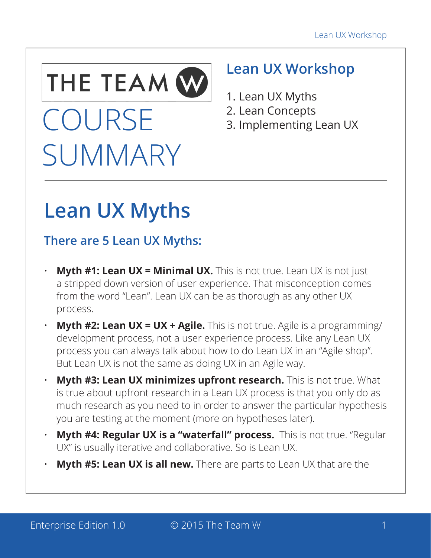

# COURSE **SUMMARY**

# **Lean UX Workshop**

- 1. Lean UX Myths
- 2. Lean Concepts
- 3. Implementing Lean UX

# **Lean UX Myths**

# **There are 5 Lean UX Myths:**

- **Myth #1: Lean UX = Minimal UX.** This is not true. Lean UX is not just a stripped down version of user experience. That misconception comes from the word "Lean". Lean UX can be as thorough as any other UX process.
- **Myth #2: Lean UX = UX + Agile.** This is not true. Agile is a programming/ development process, not a user experience process. Like any Lean UX process you can always talk about how to do Lean UX in an "Agile shop". But Lean UX is not the same as doing UX in an Agile way.
- **Myth #3: Lean UX minimizes upfront research.** This is not true. What is true about upfront research in a Lean UX process is that you only do as much research as you need to in order to answer the particular hypothesis you are testing at the moment (more on hypotheses later).
- **Myth #4: Regular UX is a "waterfall" process.** This is not true. "Regular UX" is usually iterative and collaborative. So is Lean UX.
- **Myth #5: Lean UX is all new.** There are parts to Lean UX that are the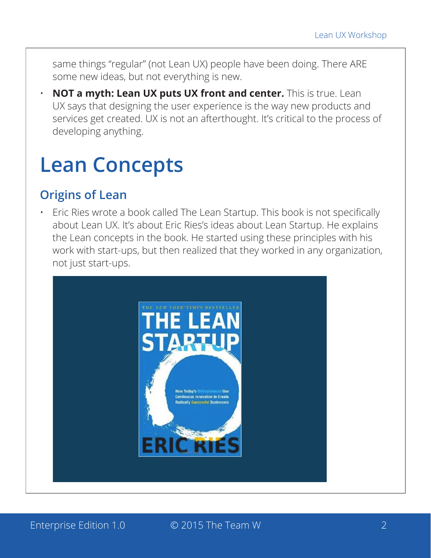same things "regular" (not Lean UX) people have been doing. There ARE some new ideas, but not everything is new.

• **NOT a myth: Lean UX puts UX front and center.** This is true. Lean UX says that designing the user experience is the way new products and services get created. UX is not an afterthought. It's critical to the process of developing anything.

# **Lean Concepts**

#### **Origins of Lean**

• Eric Ries wrote a book called The Lean Startup. This book is not specifically about Lean UX. It's about Eric Ries's ideas about Lean Startup. He explains the Lean concepts in the book. He started using these principles with his work with start-ups, but then realized that they worked in any organization, not just start-ups.



Enterprise Edition 1.0  $\qquad \qquad \circ$  2015 The Team W 2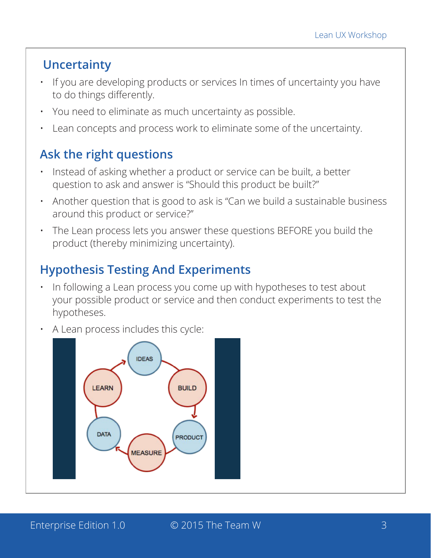# **Uncertainty**

- If you are developing products or services In times of uncertainty you have to do things differently.
- You need to eliminate as much uncertainty as possible.
- Lean concepts and process work to eliminate some of the uncertainty.

# **Ask the right questions**

- Instead of asking whether a product or service can be built, a better question to ask and answer is "Should this product be built?"
- Another question that is good to ask is "Can we build a sustainable business around this product or service?"
- The Lean process lets you answer these questions BEFORE you build the product (thereby minimizing uncertainty).

# **Hypothesis Testing And Experiments**

- In following a Lean process you come up with hypotheses to test about your possible product or service and then conduct experiments to test the hypotheses.
- A Lean process includes this cycle:

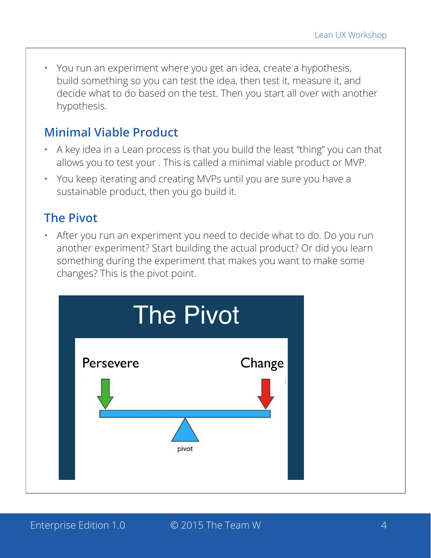• You run an experiment where you get an idea, create a hypothesis, build something so you can test the idea, then test it, measure it, and decide what to do based on the test. Then you start all over with another hypothesis.

#### **Minimal Viable Product**

- A key idea in a Lean process is that you build the least "thing" you can that allows you to test your . This is called a minimal viable product or MVP.
- You keep iterating and creating MVPs until you are sure you have a sustainable product, then you go build it.

#### **The Pivot**

• After you run an experiment you need to decide what to do. Do you run another experiment? Start building the actual product? Or did you learn something during the experiment that makes you want to make some changes? This is the pivot point.

|           | <b>The Pivot</b> |
|-----------|------------------|
| Persevere | Change<br>pivot  |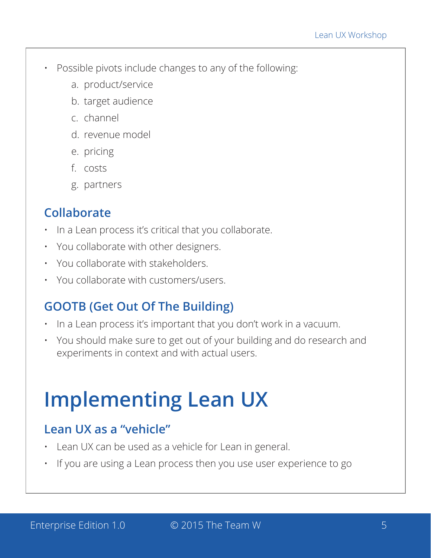- Possible pivots include changes to any of the following:
	- a. product/service
	- b. target audience
	- c. channel
	- d. revenue model
	- e. pricing
	- f. costs
	- g. partners

#### **Collaborate**

- In a Lean process it's critical that you collaborate.
- You collaborate with other designers.
- You collaborate with stakeholders.
- You collaborate with customers/users.

### **GOOTB (Get Out Of The Building)**

- In a Lean process it's important that you don't work in a vacuum.
- You should make sure to get out of your building and do research and experiments in context and with actual users.

# **Implementing Lean UX**

#### **Lean UX as a "vehicle"**

- Lean UX can be used as a vehicle for Lean in general.
- If you are using a Lean process then you use user experience to go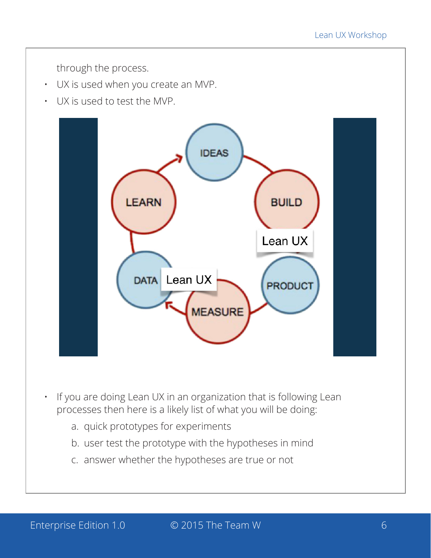through the process.

- UX is used when you create an MVP.
- UX is used to test the MVP.



- If you are doing Lean UX in an organization that is following Lean processes then here is a likely list of what you will be doing:
	- a. quick prototypes for experiments
	- b. user test the prototype with the hypotheses in mind
	- c. answer whether the hypotheses are true or not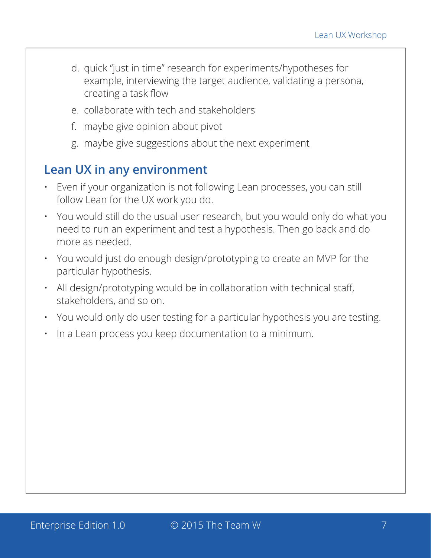- d. quick "just in time" research for experiments/hypotheses for example, interviewing the target audience, validating a persona, creating a task flow
- e. collaborate with tech and stakeholders
- f. maybe give opinion about pivot
- g. maybe give suggestions about the next experiment

#### **Lean UX in any environment**

- Even if your organization is not following Lean processes, you can still follow Lean for the UX work you do.
- You would still do the usual user research, but you would only do what you need to run an experiment and test a hypothesis. Then go back and do more as needed.
- You would just do enough design/prototyping to create an MVP for the particular hypothesis.
- All design/prototyping would be in collaboration with technical staff, stakeholders, and so on.
- You would only do user testing for a particular hypothesis you are testing.
- In a Lean process you keep documentation to a minimum.